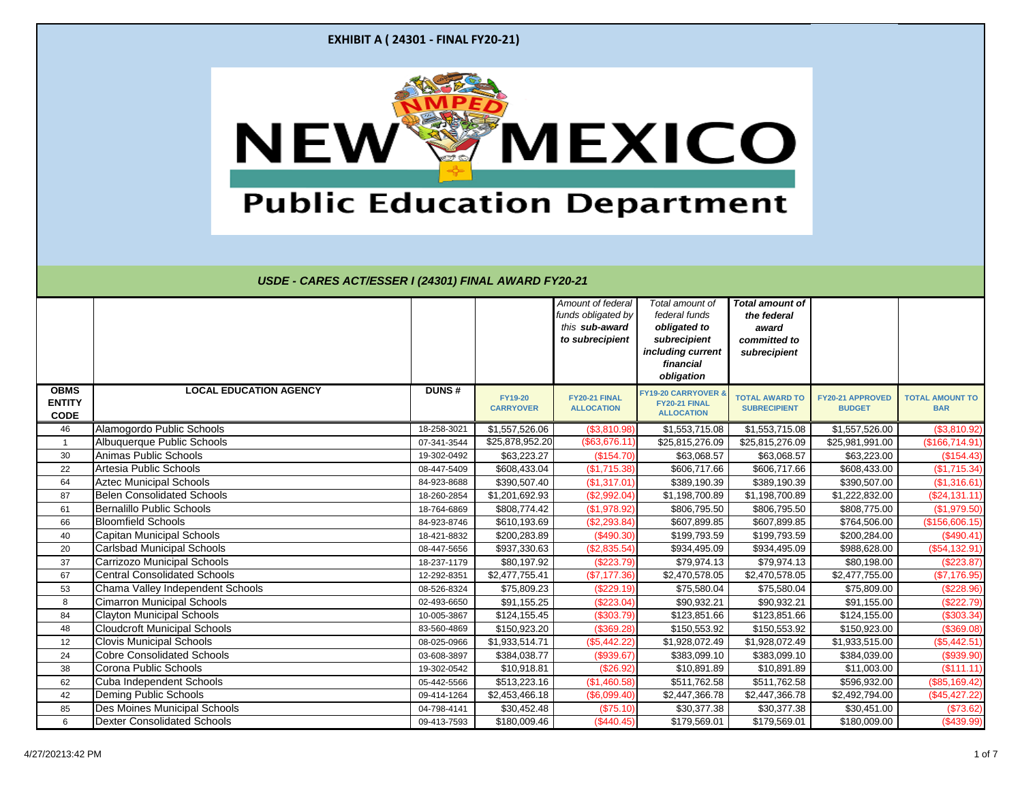|                                             | <b>EXHIBIT A (24301 - FINAL FY20-21)</b>                   |                            |                                    |                                                                              |                                                                                                                  |                                                                                |                                          |                                      |
|---------------------------------------------|------------------------------------------------------------|----------------------------|------------------------------------|------------------------------------------------------------------------------|------------------------------------------------------------------------------------------------------------------|--------------------------------------------------------------------------------|------------------------------------------|--------------------------------------|
|                                             | NEW<br><b>Public Education Department</b>                  |                            |                                    |                                                                              | <b>MEXICO</b>                                                                                                    |                                                                                |                                          |                                      |
|                                             | USDE - CARES ACT/ESSER I (24301) FINAL AWARD FY20-21       |                            |                                    | Amount of federal<br>funds obligated by<br>this sub-award<br>to subrecipient | Total amount of<br>federal funds<br>obligated to<br>subrecipient<br>including current<br>financial<br>obligation | <b>Total amount of</b><br>the federal<br>award<br>committed to<br>subrecipient |                                          |                                      |
| <b>OBMS</b><br><b>ENTITY</b><br><b>CODE</b> | <b>LOCAL EDUCATION AGENCY</b>                              | <b>DUNS#</b>               | <b>FY19-20</b><br><b>CARRYOVER</b> | FY20-21 FINAL<br><b>ALLOCATION</b>                                           | <b>FY19-20 CARRYOVER</b><br>FY20-21 FINAL<br><b>ALLOCATION</b>                                                   | TOTAL AWARD TO<br><b>SUBRECIPIENT</b>                                          | <b>FY20-21 APPROVED</b><br><b>BUDGET</b> | <b>TOTAL AMOUNT TO</b><br><b>BAR</b> |
| 46                                          | Alamogordo Public Schools                                  | 18-258-3021                | \$1,557,526.06                     | (\$3,810.98)                                                                 | \$1,553,715.08                                                                                                   | \$1,553,715.08                                                                 | \$1,557,526.00                           | (\$3,810.92)                         |
|                                             | Albuquerque Public Schools                                 | 07-341-3544                | \$25,878,952.20                    | (\$63,676.11)                                                                | \$25,815,276.09                                                                                                  | \$25,815,276.09                                                                | \$25,981,991.00                          | (\$166,714.91)                       |
| 30                                          | Animas Public Schools                                      | 19-302-0492                | \$63,223.27                        | (\$154.70)                                                                   | \$63,068.57                                                                                                      | \$63,068.57                                                                    | \$63,223.00                              | (\$154.43)                           |
| 22                                          | Artesia Public Schools                                     | 08-447-5409                | \$608,433.04                       | (\$1,715.38)                                                                 | \$606,717.66                                                                                                     | \$606,717.66                                                                   | \$608,433.00                             | (\$1,715.34)                         |
| 64                                          | <b>Aztec Municipal Schools</b>                             | 84-923-8688                | \$390,507.40                       | (\$1,317.01)                                                                 | \$389,190.39                                                                                                     | \$389,190.39                                                                   | \$390,507.00                             | (\$1,316.61)                         |
| 87                                          | <b>Belen Consolidated Schools</b>                          | 18-260-2854                | \$1,201,692.93                     | (\$2,992.04)                                                                 | \$1,198,700.89                                                                                                   | \$1,198,700.89                                                                 | \$1,222,832.00                           | (\$24,131.11)                        |
| 61                                          | <b>Bernalillo Public Schools</b>                           | 18-764-6869                | \$808,774.42                       | (\$1,978.92)                                                                 | \$806,795.50                                                                                                     | \$806,795.50                                                                   | \$808,775.00                             | (\$1,979.50)                         |
| 66                                          | <b>Bloomfield Schools</b>                                  | 84-923-8746                | \$610,193.69                       | (\$2,293.84)                                                                 | \$607,899.85                                                                                                     | \$607,899.85                                                                   | \$764,506.00                             | (\$156,606.15)                       |
| 40                                          | <b>Capitan Municipal Schools</b>                           | 18-421-8832                | \$200,283.89                       | (\$490.30)                                                                   | \$199,793.59                                                                                                     | \$199,793.59                                                                   | \$200,284.00                             | $(\$490.41)$                         |
| 20                                          | <b>Carlsbad Municipal Schools</b>                          | 08-447-5656                | \$937,330.63                       | (\$2,835.54)                                                                 | \$934,495.09                                                                                                     | \$934,495.09                                                                   | \$988,628.00                             | (\$54,132.91)                        |
| 37                                          | <b>Carrizozo Municipal Schools</b>                         | 18-237-1179                | \$80,197.92                        | (\$223.79)                                                                   | \$79,974.13                                                                                                      | \$79,974.13                                                                    | \$80,198.00                              | $(\$223.87)$                         |
| 67                                          | <b>Central Consolidated Schools</b>                        | 12-292-8351                | \$2,477,755.41                     | (\$7,177.36)                                                                 | \$2,470,578.05                                                                                                   | \$2,470,578.05                                                                 | \$2,477,755.00                           | (\$7,176.95)                         |
| 53                                          | Chama Valley Independent Schools                           | 08-526-8324                | \$75,809.23                        | (\$229.19)                                                                   | \$75,580.04                                                                                                      | \$75,580.04                                                                    | \$75,809.00                              | $(\$228.96)$                         |
| 8                                           | <b>Cimarron Municipal Schools</b>                          | 02-493-6650                | \$91,155.25                        | (\$223.04)                                                                   | \$90,932.21                                                                                                      | \$90,932.21                                                                    | \$91,155.00                              | (\$222.79)                           |
| 84                                          | <b>Clayton Municipal Schools</b>                           | 10-005-3867                | \$124,155.45                       | (\$303.79)                                                                   | \$123,851.66                                                                                                     | \$123,851.66                                                                   | \$124,155.00                             | (\$303.34)                           |
| 48                                          | <b>Cloudcroft Municipal Schools</b>                        | 83-560-4869                | \$150,923.20                       | (\$369.28)                                                                   | \$150,553.92                                                                                                     | \$150,553.92                                                                   | \$150,923.00                             | (\$369.08)                           |
| 12                                          | <b>Clovis Municipal Schools</b>                            | 08-025-0966                | \$1,933,514.71                     | (\$5,442.22)                                                                 | \$1,928,072.49                                                                                                   | \$1,928,072.49                                                                 | \$1,933,515.00                           | (\$5,442.51)                         |
| 24                                          | <b>Cobre Consolidated Schools</b><br>Corona Public Schools | 03-608-3897                | \$384,038.77                       | (\$939.67)                                                                   | \$383,099.10<br>\$10,891.89                                                                                      | \$383,099.10                                                                   | \$384,039.00<br>\$11,003.00              | (\$939.90)<br>(\$111.11)             |
| 38<br>62                                    | Cuba Independent Schools                                   | 19-302-0542<br>05-442-5566 | \$10,918.81<br>\$513,223.16        | (\$26.92)<br>(\$1,460.58)                                                    | \$511,762.58                                                                                                     | \$10,891.89<br>\$511,762.58                                                    | \$596,932.00                             | (\$85,169.42)                        |
| 42                                          | Deming Public Schools                                      | 09-414-1264                | \$2,453,466.18                     | (\$6,099.40)                                                                 | \$2,447,366.78                                                                                                   | \$2,447,366.78                                                                 | \$2,492,794.00                           | (\$45, 427.22)                       |
| 85                                          | <b>Des Moines Municipal Schools</b>                        | 04-798-4141                | \$30,452.48                        | (\$75.10)                                                                    | \$30,377.38                                                                                                      | \$30,377.38                                                                    | \$30,451.00                              | (\$73.62)                            |
|                                             |                                                            |                            | \$180,009.46                       | (\$440.45)                                                                   | \$179,569.01                                                                                                     | \$179,569.01                                                                   | \$180,009.00                             | $(\$439.99)$                         |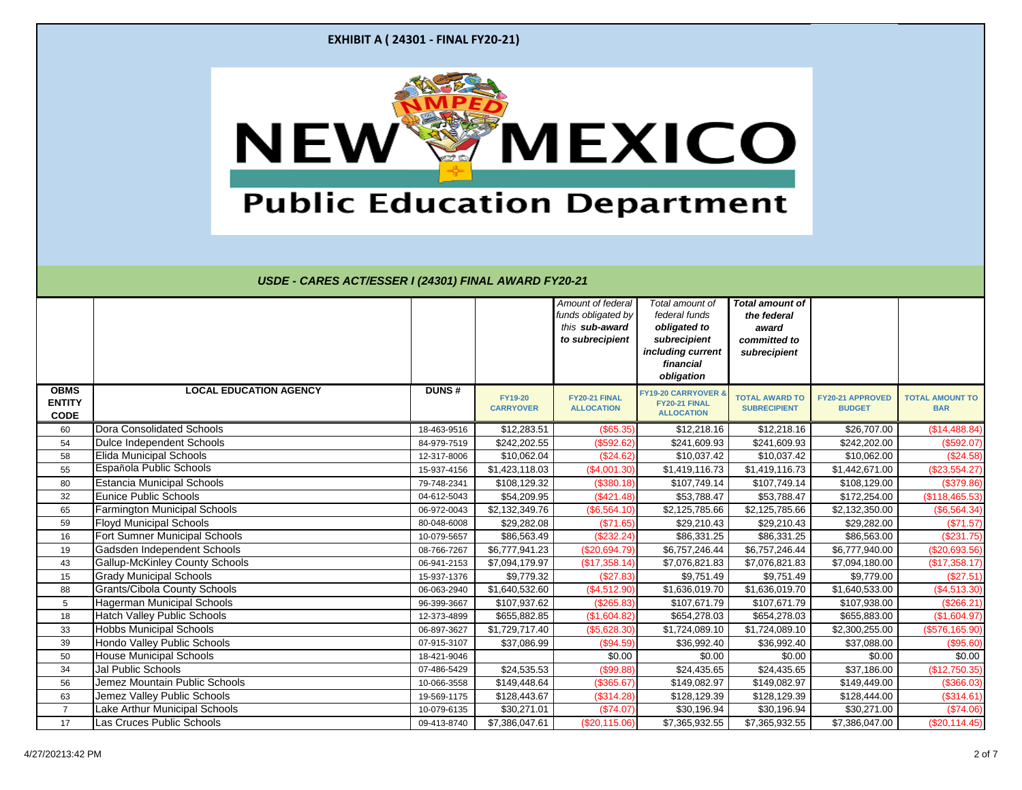|                                             | <b>EXHIBIT A (24301 - FINAL FY20-21)</b>                   |                            |                                    |                                                                              |                                                                                                                  |                                                                                |                                          |                                         |
|---------------------------------------------|------------------------------------------------------------|----------------------------|------------------------------------|------------------------------------------------------------------------------|------------------------------------------------------------------------------------------------------------------|--------------------------------------------------------------------------------|------------------------------------------|-----------------------------------------|
|                                             | NEW<br><b>Public Education Department</b>                  |                            |                                    |                                                                              | <b>MEXICO</b>                                                                                                    |                                                                                |                                          |                                         |
|                                             | USDE - CARES ACT/ESSER I (24301) FINAL AWARD FY20-21       |                            |                                    | Amount of federal<br>funds obligated by<br>this sub-award<br>to subrecipient | Total amount of<br>federal funds<br>obligated to<br>subrecipient<br>including current<br>financial<br>obligation | <b>Total amount of</b><br>the federal<br>award<br>committed to<br>subrecipient |                                          |                                         |
| <b>OBMS</b><br><b>ENTITY</b><br><b>CODE</b> | <b>LOCAL EDUCATION AGENCY</b>                              | <b>DUNS#</b>               | <b>FY19-20</b><br><b>CARRYOVER</b> | FY20-21 FINAL<br><b>ALLOCATION</b>                                           | <b>FY19-20 CARRYOVER</b><br>FY20-21 FINAL<br><b>ALLOCATION</b>                                                   | <b>TOTAL AWARD TO</b><br><b>SUBRECIPIENT</b>                                   | <b>FY20-21 APPROVED</b><br><b>BUDGET</b> | <b>TOTAL AMOUNT TO</b><br><b>BAR</b>    |
| 60                                          | <b>Dora Consolidated Schools</b>                           | 18-463-9516                | \$12,283.51                        | (\$65.35)                                                                    | \$12,218.16                                                                                                      | \$12,218.16                                                                    | \$26,707.00                              | (\$14,488.84)                           |
| 54                                          | Dulce Independent Schools                                  | 84-979-7519                | \$242,202.55                       | (\$592.62)                                                                   | \$241,609.93                                                                                                     | \$241,609.93                                                                   | \$242,202.00                             | (\$592.07)                              |
| 58                                          | <b>Elida Municipal Schools</b>                             | 12-317-8006                | \$10,062.04                        | (\$24.62)                                                                    | \$10,037.42                                                                                                      | \$10,037.42                                                                    | \$10,062.00                              | (\$24.58)                               |
| 55                                          | Española Public Schools                                    | 15-937-4156                |                                    |                                                                              |                                                                                                                  |                                                                                |                                          |                                         |
|                                             |                                                            |                            | \$1,423,118.03                     | (\$4,001.30)                                                                 | \$1,419,116.73                                                                                                   | \$1,419,116.73                                                                 | \$1,442,671.00                           | $(\$23,554.27)$                         |
| 80                                          | <b>Estancia Municipal Schools</b>                          | 79-748-2341                | \$108,129.32                       | (\$380.18)                                                                   | \$107,749.14                                                                                                     | \$107,749.14                                                                   | \$108,129.00                             | (\$379.86)                              |
| 32                                          | <b>Eunice Public Schools</b>                               | 04-612-5043                | \$54,209.95                        | (\$421.48)                                                                   | \$53,788.47                                                                                                      | \$53,788.47                                                                    | \$172,254.00                             | (\$118,465.53)                          |
| 65                                          | <b>Farmington Municipal Schools</b>                        | 06-972-0043                | \$2,132,349.76                     | (\$6,564.10)                                                                 | \$2,125,785.66                                                                                                   | \$2,125,785.66                                                                 | \$2,132,350.00                           | (\$6,564.34)                            |
| 59                                          | <b>Floyd Municipal Schools</b>                             | 80-048-6008                | \$29,282.08                        | (\$71.65)                                                                    | \$29,210.43                                                                                                      | \$29,210.43                                                                    | \$29,282.00                              | (\$71.57)                               |
| 16                                          | <b>Fort Sumner Municipal Schools</b>                       | 10-079-5657                | \$86,563.49                        | (\$232.24)                                                                   | \$86,331.25                                                                                                      | \$86,331.25                                                                    | \$86,563.00                              | $(\$231.75)$                            |
| 19                                          | Gadsden Independent Schools                                | 08-766-7267                | \$6,777,941.23                     | (\$20,694.79)                                                                | \$6,757,246.44                                                                                                   | \$6,757,246.44                                                                 | \$6,777,940.00                           | (\$20,693.56)                           |
| 43                                          | <b>Gallup-McKinley County Schools</b>                      | 06-941-2153                | \$7,094,179.97                     | (\$17,358.14)                                                                | \$7,076,821.83                                                                                                   | \$7,076,821.83                                                                 | \$7,094,180.00                           | (\$17,358.17)                           |
| 15                                          | <b>Grady Municipal Schools</b>                             | 15-937-1376                | \$9,779.32                         | (\$27.83)                                                                    | \$9,751.49                                                                                                       | \$9,751.49                                                                     | \$9,779.00                               | (\$27.51)                               |
| 88                                          | <b>Grants/Cibola County Schools</b>                        | 06-063-2940                | \$1,640,532.60                     | (\$4,512.90)                                                                 | \$1,636,019.70                                                                                                   | \$1,636,019.70                                                                 | \$1,640,533.00                           | $(\$4,513.30)$                          |
| $5\phantom{.0}$                             | Hagerman Municipal Schools                                 | 96-399-3667                | \$107,937.62                       | (\$265.83)                                                                   | \$107,671.79                                                                                                     | \$107,671.79                                                                   | \$107,938.00                             | (\$266.21)                              |
| 18                                          | <b>Hatch Valley Public Schools</b>                         | 12-373-4899                | \$655,882.85                       | (\$1,604.82)                                                                 | \$654,278.03                                                                                                     | \$654,278.03                                                                   | \$655,883.00                             | (\$1,604.97)                            |
| 33                                          | <b>Hobbs Municipal Schools</b>                             | 06-897-3627                | \$1,729,717.40                     | (\$5,628.30)                                                                 | \$1,724,089.10                                                                                                   | \$1,724,089.10                                                                 | \$2,300,255.00                           | (\$576, 165.90)                         |
| 39                                          | Hondo Valley Public Schools                                | 07-915-3107                | \$37,086.99                        | (\$94.59)                                                                    | \$36,992.40                                                                                                      | \$36,992.40                                                                    | \$37,088.00                              |                                         |
| 50                                          | <b>House Municipal Schools</b>                             | 18-421-9046                |                                    | \$0.00                                                                       | \$0.00                                                                                                           | \$0.00                                                                         | \$0.00                                   | \$0.00                                  |
| 34                                          | Jal Public Schools                                         | 07-486-5429                | \$24,535.53                        | \$99.88                                                                      | \$24,435.65                                                                                                      | \$24,435.65                                                                    | \$37,186.00                              | (\$12,750.35)                           |
| 56                                          | Jemez Mountain Public Schools                              | 10-066-3558                | \$149,448.64                       | (\$365.67)                                                                   | \$149,082.97                                                                                                     | \$149,082.97                                                                   | \$149,449.00                             | (\$366.03)                              |
| 63                                          | Jemez Valley Public Schools                                | 19-569-1175                | \$128,443.67                       | (\$314.28)                                                                   | \$128,129.39                                                                                                     | \$128,129.39                                                                   | \$128,444.00                             | (\$314.61)                              |
| $\overline{7}$<br>17                        | Lake Arthur Municipal Schools<br>Las Cruces Public Schools | 10-079-6135<br>09-413-8740 | \$30,271.01<br>\$7,386,047.61      | (\$74.07)<br>(\$20,115.06)                                                   | \$30,196.94<br>\$7,365,932.55                                                                                    | \$30,196.94<br>\$7,365,932.55                                                  | \$30,271.00<br>\$7,386,047.00            | (\$95.60)<br>(\$74.06)<br>(\$20,114.45) |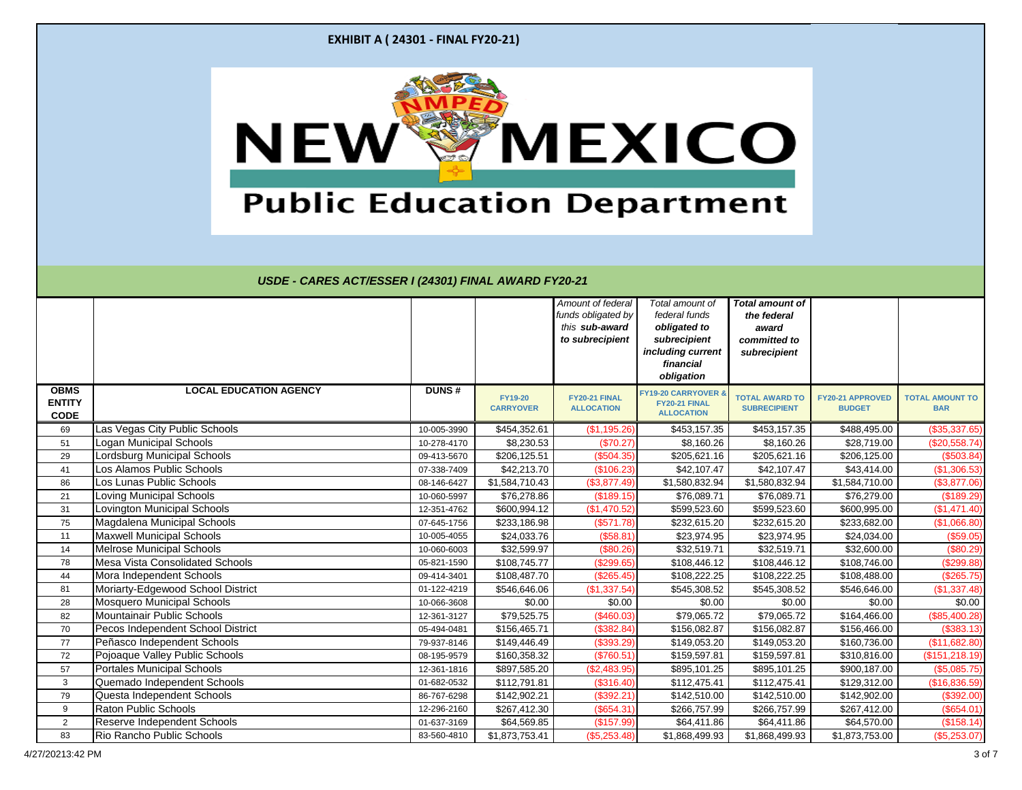|                                             | <b>EXHIBIT A (24301 - FINAL FY20-21)</b>                        |                            |                                    |                                                                              |                                                                                                                  |                                                                                |                                   |                                      |
|---------------------------------------------|-----------------------------------------------------------------|----------------------------|------------------------------------|------------------------------------------------------------------------------|------------------------------------------------------------------------------------------------------------------|--------------------------------------------------------------------------------|-----------------------------------|--------------------------------------|
|                                             | <b>NEW</b><br><b>Public Education Department</b>                |                            |                                    |                                                                              | <b>"MEXICO</b>                                                                                                   |                                                                                |                                   |                                      |
|                                             | USDE - CARES ACT/ESSER I (24301) FINAL AWARD FY20-21            |                            |                                    | Amount of federal<br>funds obligated by<br>this sub-award<br>to subrecipient | Total amount of<br>federal funds<br>obligated to<br>subrecipient<br>including current<br>financial<br>obligation | <b>Total amount of</b><br>the federal<br>award<br>committed to<br>subrecipient |                                   |                                      |
| <b>OBMS</b><br><b>ENTITY</b><br><b>CODE</b> | <b>LOCAL EDUCATION AGENCY</b>                                   | <b>DUNS#</b>               | <b>FY19-20</b><br><b>CARRYOVER</b> | FY20-21 FINAL<br><b>ALLOCATION</b>                                           | FY19-20 CARRYOVER 8<br>FY20-21 FINAL<br><b>ALLOCATION</b>                                                        | <b>TOTAL AWARD TO</b><br><b>SUBRECIPIENT</b>                                   | FY20-21 APPROVED<br><b>BUDGET</b> | <b>TOTAL AMOUNT TO</b><br><b>BAR</b> |
| 69                                          | Las Vegas City Public Schools                                   | 10-005-3990                | \$454,352.61                       | (\$1,195.26)                                                                 | \$453,157.35                                                                                                     | \$453,157.35                                                                   | \$488,495.00                      | (\$35,337.65)                        |
| 51                                          | <b>Logan Municipal Schools</b>                                  | 10-278-4170                | \$8,230.53                         | (\$70.27)                                                                    | \$8,160.26                                                                                                       | \$8,160.26                                                                     | \$28,719.00                       | (\$20,558.74)                        |
| 29                                          | Lordsburg Municipal Schools                                     | 09-413-5670                | \$206,125.51                       | (\$504.35)                                                                   | \$205,621.16                                                                                                     | \$205,621.16                                                                   | \$206,125.00                      | (\$503.84)                           |
| 41                                          | Los Alamos Public Schools                                       | 07-338-7409                | \$42,213.70                        | (\$106.23)                                                                   | \$42,107.47                                                                                                      | \$42,107.47                                                                    | \$43,414.00                       | (\$1,306.53)                         |
| 86                                          | Los Lunas Public Schools                                        | 08-146-6427                | \$1,584,710.43                     | (\$3,877.49)                                                                 | \$1,580,832.94                                                                                                   | \$1,580,832.94                                                                 | \$1,584,710.00                    | (\$3,877.06)                         |
| 21                                          | <b>Loving Municipal Schools</b>                                 | 10-060-5997                | \$76,278.86                        | (\$189.15)                                                                   | \$76,089.71                                                                                                      | \$76,089.71                                                                    | \$76,279.00                       | (\$189.29)                           |
| 31                                          | Lovington Municipal Schools                                     | 12-351-4762                | \$600,994.12                       | (\$1,470.52)                                                                 | \$599,523.60                                                                                                     | \$599,523.60                                                                   | \$600,995.00                      | (\$1,471.40)                         |
| 75                                          | Magdalena Municipal Schools<br><b>Maxwell Municipal Schools</b> | 07-645-1756                | \$233,186.98<br>\$24,033.76        | (\$571.78)                                                                   | \$232,615.20<br>\$23,974.95                                                                                      | \$232,615.20                                                                   | \$233,682.00                      | (\$1,066.80)                         |
| 11<br>14                                    | <b>Melrose Municipal Schools</b>                                | 10-005-4055<br>10-060-6003 | \$32,599.97                        | (\$58.81)<br>(\$80.26)                                                       | \$32,519.71                                                                                                      | \$23,974.95<br>\$32,519.71                                                     | \$24,034.00<br>\$32,600.00        | (\$59.05)<br>(\$80.29)               |
| 78                                          | <b>Mesa Vista Consolidated Schools</b>                          | 05-821-1590                | \$108,745.77                       | (\$299.65)                                                                   | \$108,446.12                                                                                                     | \$108,446.12                                                                   | \$108,746.00                      | (\$299.88)                           |
| 44                                          | Mora Independent Schools                                        | 09-414-3401                | \$108,487.70                       | (\$265.45)                                                                   | \$108,222.25                                                                                                     | \$108,222.25                                                                   | \$108,488.00                      | $(\$265.75)$                         |
| 81                                          | Moriarty-Edgewood School District                               | 01-122-4219                | \$546,646.06                       | (\$1,337.54)                                                                 | \$545,308.52                                                                                                     | \$545,308.52                                                                   | \$546,646.00                      | (\$1,337.48)                         |
| 28                                          | <b>Mosquero Municipal Schools</b>                               | 10-066-3608                | \$0.00                             | \$0.00                                                                       | \$0.00                                                                                                           | \$0.00                                                                         | \$0.00                            | \$0.00                               |
| 82                                          | Mountainair Public Schools                                      | 12-361-3127                | \$79,525.75                        | (\$460.03)                                                                   | \$79,065.72                                                                                                      | \$79,065.72                                                                    | \$164,466.00                      | $(\$85,400.28)$                      |
| 70                                          | Pecos Independent School District                               | 05-494-0481                | \$156,465.71                       | (\$382.84)                                                                   | \$156,082.87                                                                                                     | \$156,082.87                                                                   | \$156,466.00                      | (\$383.13)                           |
| 77                                          | Peñasco Independent Schools                                     | 79-937-8146                | \$149,446.49                       | (\$393.29)                                                                   | \$149,053.20                                                                                                     | \$149,053.20                                                                   | \$160,736.00                      | (\$11,682.80)                        |
| 72                                          | Pojoaque Valley Public Schools                                  | 08-195-9579                | \$160,358.32                       | (\$760.51)                                                                   | \$159,597.81                                                                                                     | \$159,597.81                                                                   | \$310,816.00                      | (\$151, 218.19)                      |
| 57                                          | <b>Portales Municipal Schools</b>                               | 12-361-1816                | \$897,585.20                       | (\$2,483.95)                                                                 | \$895,101.25                                                                                                     | \$895,101.25                                                                   | \$900,187.00                      | (\$5,085.75)                         |
| 3                                           | Quemado Independent Schools                                     | 01-682-0532                | \$112,791.81                       | (\$316.40)                                                                   | \$112,475.41                                                                                                     | \$112,475.41                                                                   | \$129,312.00                      | (\$16,836.59)                        |
| 79                                          | Questa Independent Schools                                      | 86-767-6298                | \$142,902.21                       | (\$392.21)                                                                   | \$142,510.00                                                                                                     | \$142,510.00                                                                   | \$142,902.00                      | (\$392.00)                           |
| 9                                           | <b>Raton Public Schools</b>                                     | 12-296-2160                | \$267,412.30                       | (\$654.31)                                                                   | \$266,757.99                                                                                                     | \$266,757.99                                                                   | \$267,412.00                      | (\$654.01)                           |
| $\overline{2}$                              | Reserve Independent Schools                                     | 01-637-3169                | \$64,569.85                        | (\$157.99)                                                                   | \$64,411.86                                                                                                      | \$64,411.86                                                                    | \$64,570.00                       | (\$158.14)                           |
| 83                                          | Rio Rancho Public Schools                                       | 83-560-4810                | \$1,873,753.41                     | (\$5,253.48)                                                                 | \$1,868,499.93                                                                                                   | \$1,868,499.93                                                                 | \$1,873,753.00                    | $(\$5,253.07)$                       |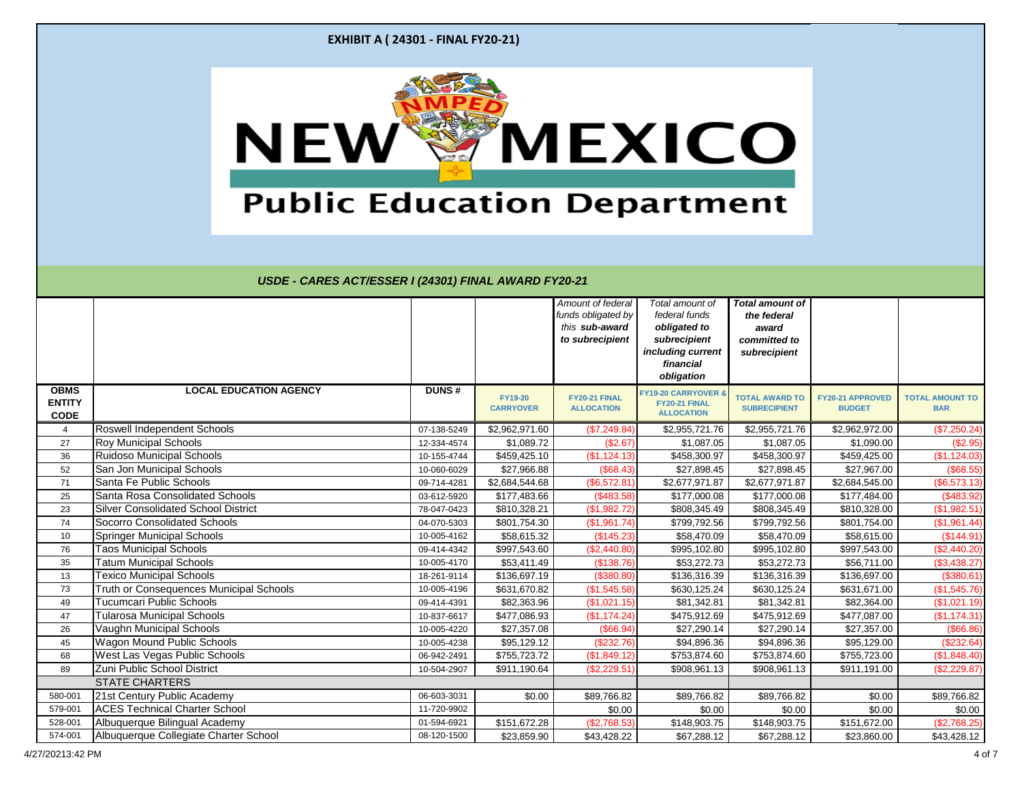|                                             | <b>EXHIBIT A (24301 - FINAL FY20-21)</b>                               |                            |                                    |                                                                              |                                                                                                                  |                                                                                |                                   |                                      |
|---------------------------------------------|------------------------------------------------------------------------|----------------------------|------------------------------------|------------------------------------------------------------------------------|------------------------------------------------------------------------------------------------------------------|--------------------------------------------------------------------------------|-----------------------------------|--------------------------------------|
|                                             | <b>NEW</b><br><b>Public Education Department</b>                       |                            |                                    |                                                                              | <b>MEXICO</b>                                                                                                    |                                                                                |                                   |                                      |
|                                             | USDE - CARES ACT/ESSER I (24301) FINAL AWARD FY20-21                   |                            |                                    | Amount of federal<br>funds obligated by<br>this sub-award<br>to subrecipient | Total amount of<br>federal funds<br>obligated to<br>subrecipient<br>including current<br>financial<br>obligation | <b>Total amount of</b><br>the federal<br>award<br>committed to<br>subrecipient |                                   |                                      |
| <b>OBMS</b><br><b>ENTITY</b><br><b>CODE</b> | <b>LOCAL EDUCATION AGENCY</b>                                          | <b>DUNS#</b>               | <b>FY19-20</b><br><b>CARRYOVER</b> | FY20-21 FINAL<br><b>ALLOCATION</b>                                           | <b>FY19-20 CARRYOVER</b><br>FY20-21 FINAL<br><b>ALLOCATION</b>                                                   | <b>TOTAL AWARD TO</b><br><b>SUBRECIPIENT</b>                                   | FY20-21 APPROVED<br><b>BUDGET</b> | <b>TOTAL AMOUNT TO</b><br><b>BAR</b> |
| $\overline{4}$                              | <b>Roswell Independent Schools</b>                                     | 07-138-5249                | \$2,962,971.60                     | (\$7,249.84)                                                                 | \$2,955,721.76                                                                                                   | \$2,955,721.76                                                                 | \$2,962,972.00                    | (\$7,250.24)                         |
| 27                                          | <b>Roy Municipal Schools</b>                                           | 12-334-4574                | \$1,089.72                         | (\$2.67)                                                                     | \$1,087.05                                                                                                       | \$1,087.05                                                                     | \$1,090.00                        | (\$2.95)                             |
| 36                                          | <b>Ruidoso Municipal Schools</b>                                       | 10-155-4744                | \$459,425.10                       | (\$1,124.13)                                                                 | \$458,300.97                                                                                                     | \$458,300.97                                                                   | \$459,425.00                      | (\$1,124.03)                         |
| 52                                          | San Jon Municipal Schools                                              | 10-060-6029                | \$27,966.88                        | (\$68.43)                                                                    | \$27,898.45                                                                                                      | \$27,898.45                                                                    | \$27,967.00                       | (\$68.55)                            |
| 71                                          | Santa Fe Public Schools                                                | 09-714-4281                | \$2,684,544.68                     | (\$6,572.81)                                                                 | \$2,677,971.87                                                                                                   | \$2,677,971.87                                                                 | \$2,684,545.00                    | (\$6,573.13)                         |
| 25                                          | Santa Rosa Consolidated Schools                                        | 03-612-5920                | \$177,483.66                       | (\$483.58)                                                                   | \$177,000.08                                                                                                     | \$177,000.08                                                                   | \$177,484.00                      | (\$483.92)                           |
| 23                                          | <b>Silver Consolidated School District</b>                             | 78-047-0423                | \$810,328.21                       | (\$1,982.72)                                                                 | \$808,345.49                                                                                                     | \$808,345.49                                                                   | \$810,328.00                      | (\$1,982.51)                         |
| 74                                          | <b>Socorro Consolidated Schools</b>                                    | 04-070-5303                | \$801,754.30                       | (\$1,961.74)                                                                 | \$799,792.56                                                                                                     | \$799,792.56                                                                   | \$801,754.00                      | (\$1,961.44)                         |
| 10                                          | <b>Springer Municipal Schools</b>                                      | 10-005-4162                | \$58,615.32                        | (\$145.23)                                                                   | \$58,470.09                                                                                                      | \$58,470.09                                                                    | \$58,615.00                       | (\$144.91)                           |
| 76                                          | <b>Taos Municipal Schools</b>                                          | 09-414-4342                | \$997,543.60                       | (\$2,440.80)                                                                 | \$995,102.80                                                                                                     | \$995,102.80                                                                   | \$997,543.00                      | (\$2,440.20)                         |
| 35                                          | <b>Tatum Municipal Schools</b><br><b>Texico Municipal Schools</b>      | 10-005-4170                | \$53,411.49                        | (\$138.76)                                                                   | \$53,272.73                                                                                                      | \$53,272.73                                                                    | \$56,711.00                       | (\$3,438.27)                         |
| 13<br>73                                    | Truth or Consequences Municipal Schools                                | 18-261-9114<br>10-005-4196 | \$136,697.19<br>\$631,670.82       | (\$380.80)<br>(\$1,545.58)                                                   | \$136,316.39<br>\$630,125.24                                                                                     | \$136,316.39<br>\$630,125.24                                                   | \$136,697.00<br>\$631,671.00      | (\$380.61)<br>(\$1,545.76)           |
| 49                                          | <b>Tucumcari Public Schools</b>                                        | 09-414-4391                | \$82,363.96                        | (\$1,021.15)                                                                 | \$81,342.81                                                                                                      | \$81,342.81                                                                    | \$82,364.00                       | (\$1,021.19)                         |
| 47                                          | <b>Tularosa Municipal Schools</b>                                      | 10-837-6617                | \$477,086.93                       | (\$1,174.24)                                                                 | \$475,912.69                                                                                                     | \$475,912.69                                                                   | \$477,087.00                      | (\$1,174.31)                         |
| 26                                          | Vaughn Municipal Schools                                               | 10-005-4220                | \$27,357.08                        | (\$66.94)                                                                    | \$27,290.14                                                                                                      | \$27,290.14                                                                    | \$27,357.00                       | (\$66.86)                            |
| 45                                          | <b>Wagon Mound Public Schools</b>                                      | 10-005-4238                | \$95,129.12                        | (\$232.76)                                                                   | \$94,896.36                                                                                                      | \$94,896.36                                                                    | \$95,129.00                       | (\$232.64)                           |
| 68                                          | <b>West Las Vegas Public Schools</b>                                   | 06-942-2491                | \$755,723.72                       | (\$1,849.12)                                                                 | \$753,874.60                                                                                                     | \$753,874.60                                                                   | \$755,723.00                      | (\$1,848.40)                         |
| 89                                          | Zuni Public School District                                            | 10-504-2907                | \$911,190.64                       | (\$2,229.51)                                                                 | \$908,961.13                                                                                                     | \$908,961.13                                                                   | \$911,191.00                      | (\$2,229.87)                         |
|                                             | <b>STATE CHARTERS</b>                                                  |                            |                                    |                                                                              |                                                                                                                  |                                                                                |                                   |                                      |
| 580-001                                     | 21st Century Public Academy                                            | 06-603-3031                | \$0.00                             | \$89,766.82                                                                  | \$89,766.82                                                                                                      | \$89,766.82                                                                    | \$0.00                            | \$89,766.82                          |
|                                             |                                                                        | 11-720-9902                |                                    | \$0.00                                                                       | \$0.00                                                                                                           | \$0.00                                                                         | \$0.00                            | \$0.00                               |
| 579-001                                     | <b>ACES Technical Charter School</b>                                   |                            |                                    |                                                                              |                                                                                                                  |                                                                                |                                   |                                      |
| 528-001                                     | Albuquerque Bilingual Academy<br>Albuquerque Collegiate Charter School | 01-594-6921                | \$151,672.28                       | (\$2,768.53)                                                                 | \$148,903.75                                                                                                     | \$148,903.75                                                                   | \$151,672.00                      | (\$2,768.25)                         |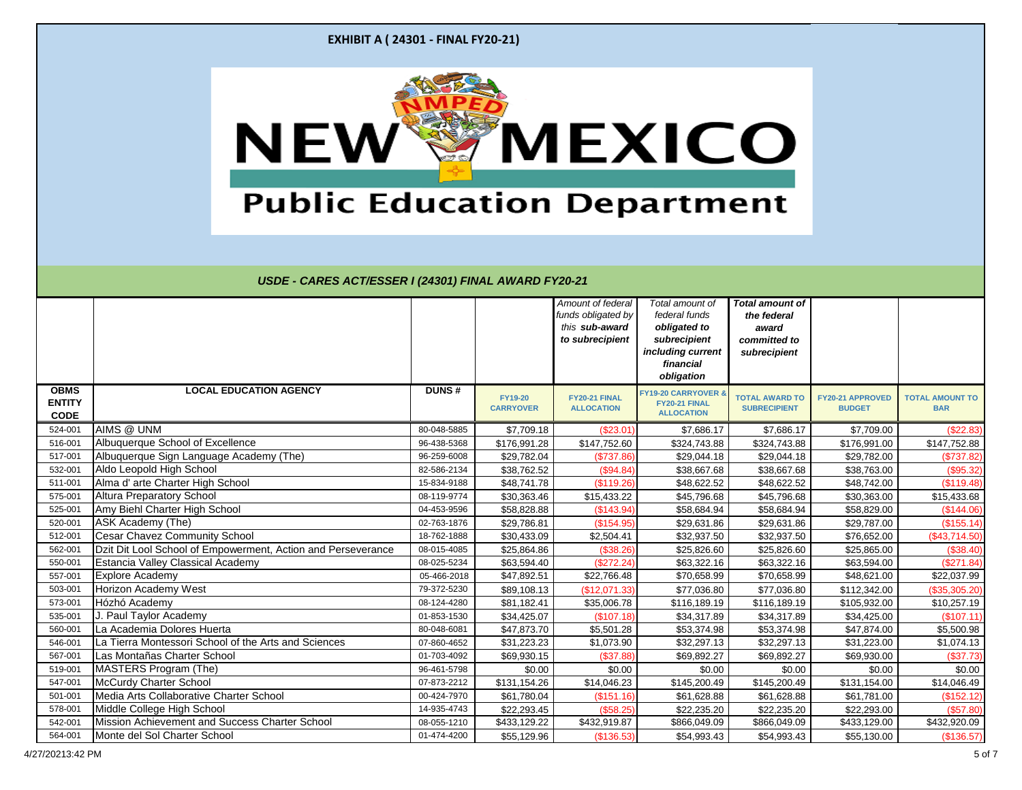|                                             | <b>EXHIBIT A (24301 - FINAL FY20-21)</b>                                                                 |                            |                                    |                                                                              |                                                                                                                  |                                                                                |                                   |                                      |
|---------------------------------------------|----------------------------------------------------------------------------------------------------------|----------------------------|------------------------------------|------------------------------------------------------------------------------|------------------------------------------------------------------------------------------------------------------|--------------------------------------------------------------------------------|-----------------------------------|--------------------------------------|
|                                             |                                                                                                          |                            |                                    |                                                                              |                                                                                                                  |                                                                                |                                   |                                      |
|                                             | USDE - CARES ACT/ESSER I (24301) FINAL AWARD FY20-21                                                     |                            |                                    | Amount of federal<br>funds obligated by<br>this sub-award<br>to subrecipient | Total amount of<br>federal funds<br>obligated to<br>subrecipient<br>including current<br>financial<br>obligation | <b>Total amount of</b><br>the federal<br>award<br>committed to<br>subrecipient |                                   |                                      |
| <b>OBMS</b><br><b>ENTITY</b><br><b>CODE</b> | <b>LOCAL EDUCATION AGENCY</b>                                                                            | <b>DUNS#</b>               | <b>FY19-20</b><br><b>CARRYOVER</b> | FY20-21 FINAL<br><b>ALLOCATION</b>                                           | <b>FY19-20 CARRYOVER 8</b><br>FY20-21 FINAL<br><b>ALLOCATION</b>                                                 | <b>TOTAL AWARD TO</b><br><b>SUBRECIPIENT</b>                                   | FY20-21 APPROVED<br><b>BUDGET</b> | <b>TOTAL AMOUNT TO</b><br><b>BAR</b> |
| 524-001                                     | AIMS @ UNM                                                                                               | 80-048-5885                | \$7,709.18                         | (\$23.01                                                                     | \$7,686.17                                                                                                       | \$7,686.17                                                                     | \$7,709.00                        | (\$22.83)                            |
| 516-001                                     | Albuquerque School of Excellence                                                                         | 96-438-5368                | \$176,991.28                       | \$147,752.60                                                                 | \$324,743.88                                                                                                     | \$324,743.88                                                                   | \$176,991.00                      | \$147,752.88                         |
| 517-001                                     | Albuquerque Sign Language Academy (The)                                                                  | 96-259-6008                | \$29,782.04                        | (\$737.86)                                                                   | \$29,044.18                                                                                                      | \$29,044.18                                                                    | \$29,782.00                       | (\$737.82)                           |
| 532-001                                     | Aldo Leopold High School                                                                                 | 82-586-2134                | \$38,762.52                        | (\$94.84)                                                                    | \$38,667.68                                                                                                      | \$38,667.68                                                                    | \$38,763.00                       | (\$95.32)                            |
| 511-001                                     | Alma d' arte Charter High School                                                                         | 15-834-9188                | \$48,741.78                        | (\$119.26)                                                                   | \$48,622.52                                                                                                      | \$48,622.52                                                                    | \$48,742.00                       | (\$119.48)                           |
| 575-001                                     | <b>Altura Preparatory School</b>                                                                         | 08-119-9774                | \$30,363.46                        | \$15,433.22                                                                  | \$45,796.68                                                                                                      | \$45,796.68                                                                    | \$30,363.00                       | \$15,433.68                          |
| 525-001                                     | Amy Biehl Charter High School                                                                            | 04-453-9596                | \$58,828.88                        | (\$143.94)                                                                   | \$58,684.94                                                                                                      | \$58,684.94                                                                    | \$58,829.00                       | (\$144.06)                           |
| 520-001                                     | ASK Academy (The)                                                                                        | 02-763-1876                | \$29,786.81                        | (\$154.95)                                                                   | \$29,631.86                                                                                                      | \$29,631.86                                                                    | \$29,787.00                       | (\$155.14)                           |
| 512-001                                     | <b>Cesar Chavez Community School</b>                                                                     | 18-762-1888<br>08-015-4085 | \$30,433.09                        | \$2,504.41                                                                   | \$32,937.50                                                                                                      | \$32,937.50                                                                    | \$76,652.00                       | (\$43,714.50)                        |
| 562-001<br>550-001                          | Dzit Dit Lool School of Empowerment, Action and Perseverance<br><b>Estancia Valley Classical Academy</b> | 08-025-5234                | \$25,864.86<br>\$63,594.40         | (\$38.26)<br>(\$272.24)                                                      | \$25,826.60<br>\$63,322.16                                                                                       | \$25,826.60<br>\$63,322.16                                                     | \$25,865.00<br>\$63,594.00        | (\$38.40)<br>(\$271.84)              |
| 557-001                                     | <b>Explore Academy</b>                                                                                   | 05-466-2018                | \$47,892.51                        | \$22,766.48                                                                  | \$70,658.99                                                                                                      | \$70,658.99                                                                    | \$48,621.00                       | \$22,037.99                          |
| 503-001                                     | Horizon Academy West                                                                                     | 79-372-5230                | \$89,108.13                        | (\$12,071.33)                                                                | \$77,036.80                                                                                                      | \$77,036.80                                                                    | \$112,342.00                      | (\$35,305.20)                        |
| 573-001                                     | Hózhó Academy                                                                                            | 08-124-4280                | \$81,182.41                        | \$35,006.78                                                                  | \$116,189.19                                                                                                     | \$116,189.19                                                                   | \$105,932.00                      | \$10,257.19                          |
| 535-001                                     | J. Paul Taylor Academy                                                                                   | 01-853-1530                | \$34,425.07                        | (\$107.18)                                                                   | \$34,317.89                                                                                                      | \$34,317.89                                                                    | \$34,425.00                       | (\$107.11)                           |
| 560-001                                     | La Academia Dolores Huerta                                                                               | 80-048-6081                | \$47,873.70                        | \$5,501.28                                                                   | \$53,374.98                                                                                                      | \$53,374.98                                                                    | \$47,874.00                       | \$5,500.98                           |
| 546-001                                     | La Tierra Montessori School of the Arts and Sciences                                                     | 07-860-4652                | \$31,223.23                        | \$1,073.90                                                                   | \$32,297.13                                                                                                      | \$32,297.13                                                                    | \$31,223.00                       | \$1,074.13                           |
| 567-001                                     | Las Montañas Charter School                                                                              | 01-703-4092                | \$69,930.15                        | (\$37.88)                                                                    | \$69,892.27                                                                                                      | \$69,892.27                                                                    | \$69,930.00                       | (\$37.73)                            |
| 519-001                                     | MASTERS Program (The)                                                                                    | 96-461-5798                | \$0.00                             | \$0.00                                                                       | \$0.00                                                                                                           | \$0.00                                                                         | \$0.00                            | \$0.00                               |
| 547-001                                     | <b>McCurdy Charter School</b>                                                                            | 07-873-2212                | \$131,154.26                       | \$14,046.23                                                                  | \$145,200.49                                                                                                     | \$145,200.49                                                                   | \$131,154.00                      | \$14,046.49                          |
| 501-001                                     | Media Arts Collaborative Charter School                                                                  | 00-424-7970                | \$61,780.04                        | (\$151.16)                                                                   | \$61,628.88                                                                                                      | \$61,628.88                                                                    | \$61,781.00                       | (\$152.12)                           |
| 578-001                                     | Middle College High School                                                                               | 14-935-4743                | \$22,293.45                        | (\$58.25)                                                                    | \$22,235.20                                                                                                      | \$22,235.20                                                                    | \$22,293.00                       | (\$57.80)                            |
| 542-001                                     | Mission Achievement and Success Charter School                                                           | 08-055-1210                | \$433,129.22                       | \$432,919.87                                                                 | \$866,049.09                                                                                                     | \$866,049.09                                                                   | \$433,129.00                      | \$432,920.09                         |
| 564-001                                     | Monte del Sol Charter School                                                                             | 01-474-4200                | \$55,129.96                        | (\$136.53)                                                                   | \$54,993.43                                                                                                      | \$54,993.43                                                                    | \$55,130.00                       | (\$136.57)                           |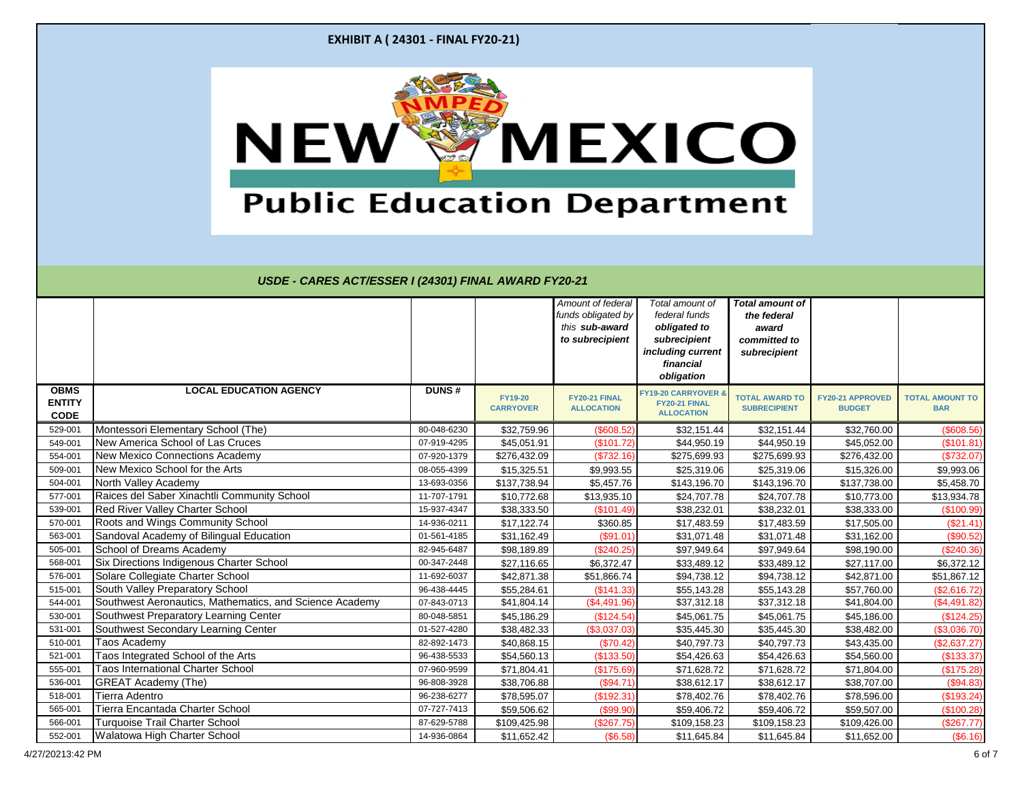|                              | <b>EXHIBIT A (24301 - FINAL FY20-21)</b>                                                          |                            |                                    |                                                                              |                                                                                                                  |                                                                                |                                          |                                      |
|------------------------------|---------------------------------------------------------------------------------------------------|----------------------------|------------------------------------|------------------------------------------------------------------------------|------------------------------------------------------------------------------------------------------------------|--------------------------------------------------------------------------------|------------------------------------------|--------------------------------------|
|                              | NEW<br><b>Public Education Department</b><br>USDE - CARES ACT/ESSER I (24301) FINAL AWARD FY20-21 |                            |                                    |                                                                              | <b>MEXICO</b>                                                                                                    |                                                                                |                                          |                                      |
|                              |                                                                                                   |                            |                                    | Amount of federal<br>funds obligated by<br>this sub-award<br>to subrecipient | Total amount of<br>federal funds<br>obligated to<br>subrecipient<br>including current<br>financial<br>obligation | <b>Total amount of</b><br>the federal<br>award<br>committed to<br>subrecipient |                                          |                                      |
| <b>OBMS</b>                  | <b>LOCAL EDUCATION AGENCY</b>                                                                     | <b>DUNS#</b>               |                                    |                                                                              |                                                                                                                  |                                                                                |                                          |                                      |
| <b>ENTITY</b><br><b>CODE</b> |                                                                                                   |                            | <b>FY19-20</b><br><b>CARRYOVER</b> | FY20-21 FINAL<br><b>ALLOCATION</b>                                           | <b>FY19-20 CARRYOVER &amp;</b><br>FY20-21 FINAL<br><b>ALLOCATION</b>                                             | <b>TOTAL AWARD TO</b><br><b>SUBRECIPIENT</b>                                   | <b>FY20-21 APPROVED</b><br><b>BUDGET</b> | <b>TOTAL AMOUNT TO</b><br><b>BAR</b> |
| 529-001                      | Montessori Elementary School (The)                                                                | 80-048-6230                | \$32,759.96                        | (\$608.52)                                                                   | \$32,151.44                                                                                                      | \$32,151.44                                                                    | \$32,760.00                              | (\$608.56)                           |
| 549-001                      | New America School of Las Cruces                                                                  | 07-919-4295                | \$45,051.91                        | (\$101.72)                                                                   | \$44,950.19                                                                                                      | \$44,950.19                                                                    | \$45,052.00                              | (\$101.81)                           |
| 554-001                      | New Mexico Connections Academy                                                                    | 07-920-1379                | \$276,432.09                       | (\$732.16)                                                                   | \$275,699.93                                                                                                     | \$275,699.93                                                                   | \$276,432.00                             | (\$732.07)                           |
| 509-001                      | New Mexico School for the Arts                                                                    | 08-055-4399                | \$15,325.51                        | \$9,993.55                                                                   | \$25,319.06                                                                                                      | \$25,319.06                                                                    | \$15,326.00                              | \$9,993.06                           |
| 504-001                      | North Valley Academy                                                                              | 13-693-0356                | \$137,738.94                       | \$5,457.76                                                                   | \$143,196.70                                                                                                     | \$143,196.70                                                                   | \$137,738.00                             | \$5,458.70                           |
| 577-001                      | Raices del Saber Xinachtli Community School                                                       | 11-707-1791                | \$10,772.68                        | \$13,935.10                                                                  | \$24,707.78                                                                                                      | \$24,707.78                                                                    | \$10,773.00                              | \$13,934.78                          |
| 539-001                      | <b>Red River Valley Charter School</b>                                                            | 15-937-4347                | \$38,333.50                        | (\$101.49)                                                                   | \$38,232.01                                                                                                      | \$38,232.01                                                                    | \$38,333.00                              | (\$100.99)                           |
| 570-001                      | Roots and Wings Community School                                                                  | 14-936-0211                | \$17,122.74                        | \$360.85                                                                     | \$17,483.59                                                                                                      | \$17,483.59                                                                    | \$17,505.00                              | (\$21.41)                            |
| 563-001                      | Sandoval Academy of Bilingual Education                                                           | 01-561-4185                | \$31,162.49                        | (\$91.01)                                                                    | \$31,071.48                                                                                                      | \$31,071.48                                                                    | \$31,162.00                              | (\$90.52)                            |
| 505-001                      | School of Dreams Academy                                                                          | 82-945-6487                | \$98,189.89                        | (\$240.25)                                                                   | \$97,949.64                                                                                                      | \$97,949.64                                                                    | \$98,190.00                              | $(\$240.36)$                         |
| 568-001                      | <b>Six Directions Indigenous Charter School</b>                                                   | 00-347-2448                | \$27,116.65                        | \$6,372.47                                                                   | \$33,489.12                                                                                                      | \$33,489.12                                                                    | \$27,117.00                              | \$6,372.12                           |
| 576-001                      | Solare Collegiate Charter School                                                                  | 11-692-6037                | \$42,871.38                        | \$51,866.74                                                                  | \$94,738.12                                                                                                      | \$94,738.12                                                                    | \$42,871.00                              | \$51,867.12                          |
| 515-001                      | <b>South Valley Preparatory School</b>                                                            | 96-438-4445                | \$55,284.61                        | (\$141.33)                                                                   | \$55,143.28                                                                                                      | \$55,143.28                                                                    | \$57,760.00                              | (\$2,616.72)                         |
| 544-001                      | Southwest Aeronautics, Mathematics, and Science Academy                                           | 07-843-0713                | \$41,804.14                        | (\$4,491.96)                                                                 | \$37,312.18                                                                                                      | \$37,312.18                                                                    | \$41,804.00                              | (\$4,491.82)                         |
| 530-001                      | Southwest Preparatory Learning Center                                                             | 80-048-5851                | \$45,186.29                        | (\$124.54)                                                                   | \$45,061.75                                                                                                      | \$45,061.75                                                                    | \$45,186.00                              | (\$124.25)                           |
| 531-001                      | Southwest Secondary Learning Center<br><b>Taos Academy</b>                                        | 01-527-4280<br>82-892-1473 | \$38,482.33                        | (\$3,037.03)                                                                 | \$35,445.30                                                                                                      | \$35,445.30                                                                    | \$38,482.00                              | (\$3,036.70)                         |
| 510-001<br>521-001           |                                                                                                   | 96-438-5533                | \$40,868.15                        | (\$70.42)                                                                    | \$40,797.73                                                                                                      | \$40,797.73                                                                    | \$43,435.00                              | $(\$2,637.27)$                       |
| 555-001                      | Taos Integrated School of the Arts<br><b>Taos International Charter School</b>                    | 07-960-9599                | \$54,560.13<br>\$71,804.41         | (\$133.50)<br>(\$175.69)                                                     | \$54,426.63<br>\$71,628.72                                                                                       | \$54,426.63<br>\$71,628.72                                                     | \$54,560.00<br>\$71,804.00               | (\$133.37)<br>(\$175.28)             |
| 536-001                      | <b>GREAT Academy (The)</b>                                                                        | 96-808-3928                | \$38,706.88                        | (\$94.71)                                                                    | \$38,612.17                                                                                                      | \$38,612.17                                                                    | \$38,707.00                              | (\$94.83)                            |
| 518-001                      | Tierra Adentro                                                                                    | 96-238-6277                | \$78,595.07                        | (\$192.31)                                                                   | \$78,402.76                                                                                                      | \$78,402.76                                                                    | \$78,596.00                              | (\$193.24)                           |
| 565-001                      | Tierra Encantada Charter School                                                                   | 07-727-7413                | \$59,506.62                        | (\$99.90)                                                                    | \$59,406.72                                                                                                      | \$59,406.72                                                                    | \$59,507.00                              | (\$100.28)                           |
| 566-001                      | <b>Turquoise Trail Charter School</b><br>Walatowa High Charter School                             | 87-629-5788                | \$109,425.98                       | (\$267.75)                                                                   | \$109,158.23                                                                                                     | \$109,158.23                                                                   | \$109,426.00                             | (\$267.77)                           |